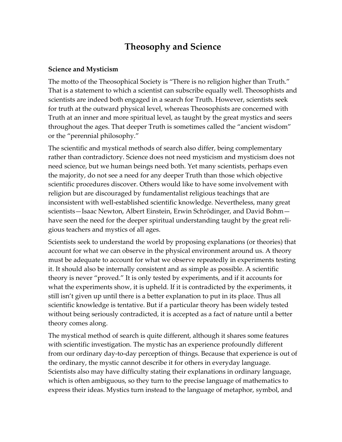## **Theosophy and Science**

## **Science and Mysticism**

The motto of the Theosophical Society is "There is no religion higher than Truth." That is a statement to which a scientist can subscribe equally well. Theosophists and scientists are indeed both engaged in a search for Truth. However, scientists seek for truth at the outward physical level, whereas Theosophists are concerned with Truth at an inner and more spiritual level, as taught by the great mystics and seers throughout the ages. That deeper Truth is sometimes called the "ancient wisdom" or the "perennial philosophy."

The scientific and mystical methods of search also differ, being complementary rather than contradictory. Science does not need mysticism and mysticism does not need science, but we human beings need both. Yet many scientists, perhaps even the majority, do not see a need for any deeper Truth than those which objective scientific procedures discover. Others would like to have some involvement with religion but are discouraged by fundamentalist religious teachings that are inconsistent with well-established scientific knowledge. Nevertheless, many great scientists—Isaac Newton, Albert Einstein, Erwin Schrödinger, and David Bohm have seen the need for the deeper spiritual understanding taught by the great religious teachers and mystics of all ages.

Scientists seek to understand the world by proposing explanations (or theories) that account for what we can observe in the physical environment around us. A theory must be adequate to account for what we observe repeatedly in experiments testing it. It should also be internally consistent and as simple as possible. A scientific theory is never "proved." It is only tested by experiments, and if it accounts for what the experiments show, it is upheld. If it is contradicted by the experiments, it still isn't given up until there is a better explanation to put in its place. Thus all scientific knowledge is tentative. But if a particular theory has been widely tested without being seriously contradicted, it is accepted as a fact of nature until a better theory comes along.

The mystical method of search is quite different, although it shares some features with scientific investigation. The mystic has an experience profoundly different from our ordinary day-to-day perception of things. Because that experience is out of the ordinary, the mystic cannot describe it for others in everyday language. Scientists also may have difficulty stating their explanations in ordinary language, which is often ambiguous, so they turn to the precise language of mathematics to express their ideas. Mystics turn instead to the language of metaphor, symbol, and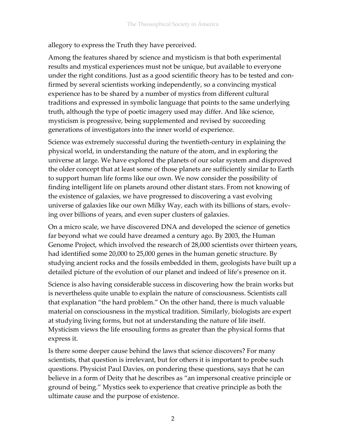allegory to express the Truth they have perceived.

Among the features shared by science and mysticism is that both experimental results and mystical experiences must not be unique, but available to everyone under the right conditions. Just as a good scientific theory has to be tested and confirmed by several scientists working independently, so a convincing mystical experience has to be shared by a number of mystics from different cultural traditions and expressed in symbolic language that points to the same underlying truth, although the type of poetic imagery used may differ. And like science, mysticism is progressive, being supplemented and revised by succeeding generations of investigators into the inner world of experience.

Science was extremely successful during the twentieth-century in explaining the physical world, in understanding the nature of the atom, and in exploring the universe at large. We have explored the planets of our solar system and disproved the older concept that at least some of those planets are sufficiently similar to Earth to support human life forms like our own. We now consider the possibility of finding intelligent life on planets around other distant stars. From not knowing of the existence of galaxies, we have progressed to discovering a vast evolving universe of galaxies like our own Milky Way, each with its billions of stars, evolving over billions of years, and even super clusters of galaxies.

On a micro scale, we have discovered DNA and developed the science of genetics far beyond what we could have dreamed a century ago. By 2003, the Human Genome Project, which involved the research of 28,000 scientists over thirteen years, had identified some 20,000 to 25,000 genes in the human genetic structure. By studying ancient rocks and the fossils embedded in them, geologists have built up a detailed picture of the evolution of our planet and indeed of life's presence on it.

Science is also having considerable success in discovering how the brain works but is nevertheless quite unable to explain the nature of consciousness. Scientists call that explanation "the hard problem." On the other hand, there is much valuable material on consciousness in the mystical tradition. Similarly, biologists are expert at studying living forms, but not at understanding the nature of life itself. Mysticism views the life ensouling forms as greater than the physical forms that express it.

Is there some deeper cause behind the laws that science discovers? For many scientists, that question is irrelevant, but for others it is important to probe such questions. Physicist Paul Davies, on pondering these questions, says that he can believe in a form of Deity that he describes as "an impersonal creative principle or ground of being." Mystics seek to experience that creative principle as both the ultimate cause and the purpose of existence.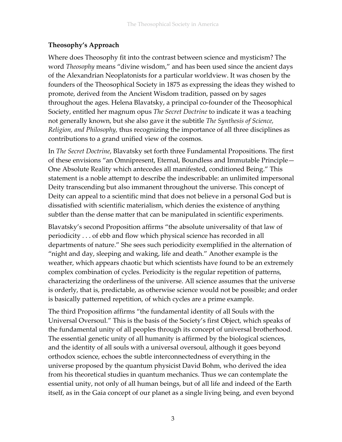## **Theosophy's Approach**

Where does Theosophy fit into the contrast between science and mysticism? The word *Theosophy* means "divine wisdom," and has been used since the ancient days of the Alexandrian Neoplatonists for a particular worldview. It was chosen by the founders of the Theosophical Society in 1875 as expressing the ideas they wished to promote, derived from the Ancient Wisdom tradition, passed on by sages throughout the ages. Helena Blavatsky, a principal co-founder of the Theosophical Society, entitled her magnum opus *The Secret Doctrine* to indicate it was a teaching not generally known, but she also gave it the subtitle *The Synthesis of Science, Religion, and Philosophy,* thus recognizing the importance of all three disciplines as contributions to a grand unified view of the cosmos.

In *The Secret Doctrine*, Blavatsky set forth three Fundamental Propositions. The first of these envisions "an Omnipresent, Eternal, Boundless and Immutable Principle— One Absolute Reality which antecedes all manifested, conditioned Being." This statement is a noble attempt to describe the indescribable: an unlimited impersonal Deity transcending but also immanent throughout the universe. This concept of Deity can appeal to a scientific mind that does not believe in a personal God but is dissatisfied with scientific materialism, which denies the existence of anything subtler than the dense matter that can be manipulated in scientific experiments.

Blavatsky's second Proposition affirms "the absolute universality of that law of periodicity . . . of ebb and flow which physical science has recorded in all departments of nature." She sees such periodicity exemplified in the alternation of "night and day, sleeping and waking, life and death." Another example is the weather, which appears chaotic but which scientists have found to be an extremely complex combination of cycles. Periodicity is the regular repetition of patterns, characterizing the orderliness of the universe. All science assumes that the universe is orderly, that is, predictable, as otherwise science would not be possible; and order is basically patterned repetition, of which cycles are a prime example.

The third Proposition affirms "the fundamental identity of all Souls with the Universal Oversoul." This is the basis of the Society's first Object, which speaks of the fundamental unity of all peoples through its concept of universal brotherhood. The essential genetic unity of all humanity is affirmed by the biological sciences, and the identity of all souls with a universal oversoul, although it goes beyond orthodox science, echoes the subtle interconnectedness of everything in the universe proposed by the quantum physicist David Bohm, who derived the idea from his theoretical studies in quantum mechanics. Thus we can contemplate the essential unity, not only of all human beings, but of all life and indeed of the Earth itself, as in the Gaia concept of our planet as a single living being, and even beyond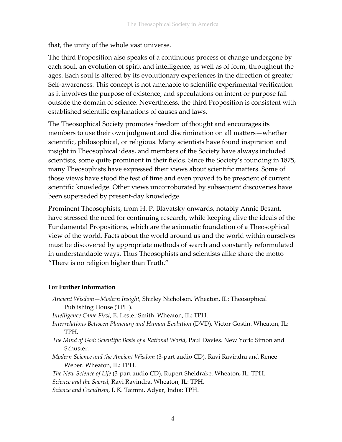that, the unity of the whole vast universe.

The third Proposition also speaks of a continuous process of change undergone by each soul, an evolution of spirit and intelligence, as well as of form, throughout the ages. Each soul is altered by its evolutionary experiences in the direction of greater Self-awareness. This concept is not amenable to scientific experimental verification as it involves the purpose of existence, and speculations on intent or purpose fall outside the domain of science. Nevertheless, the third Proposition is consistent with established scientific explanations of causes and laws.

The Theosophical Society promotes freedom of thought and encourages its members to use their own judgment and discrimination on all matters—whether scientific, philosophical, or religious. Many scientists have found inspiration and insight in Theosophical ideas, and members of the Society have always included scientists, some quite prominent in their fields. Since the Society's founding in 1875, many Theosophists have expressed their views about scientific matters. Some of those views have stood the test of time and even proved to be prescient of current scientific knowledge. Other views uncorroborated by subsequent discoveries have been superseded by present-day knowledge.

Prominent Theosophists, from H. P. Blavatsky onwards, notably Annie Besant, have stressed the need for continuing research, while keeping alive the ideals of the Fundamental Propositions, which are the axiomatic foundation of a Theosophical view of the world. Facts about the world around us and the world within ourselves must be discovered by appropriate methods of search and constantly reformulated in understandable ways. Thus Theosophists and scientists alike share the motto "There is no religion higher than Truth."

## **For Further Information**

*Ancient Wisdom—Modern Insight,* Shirley Nicholson. Wheaton, IL: Theosophical Publishing House (TPH).

*Intelligence Came First,* E. Lester Smith. Wheaton, IL: TPH.

*Interrelations Between Planetary and Human Evolution* (DVD)*,* Victor Gostin. Wheaton, IL: TPH.

- *The Mind of God: Scientific Basis of a Rational World,* Paul Davies. New York: Simon and Schuster.
- *Modern Science and the Ancient Wisdom* (3-part audio CD)*,* Ravi Ravindra and Renee Weber. Wheaton, IL: TPH.

*The New Science of Life* (3-part audio CD)*,* Rupert Sheldrake. Wheaton, IL: TPH. *Science and the Sacred,* Ravi Ravindra. Wheaton, IL: TPH.

*Science and Occultism,* I. K. Taimni. Adyar, India: TPH.